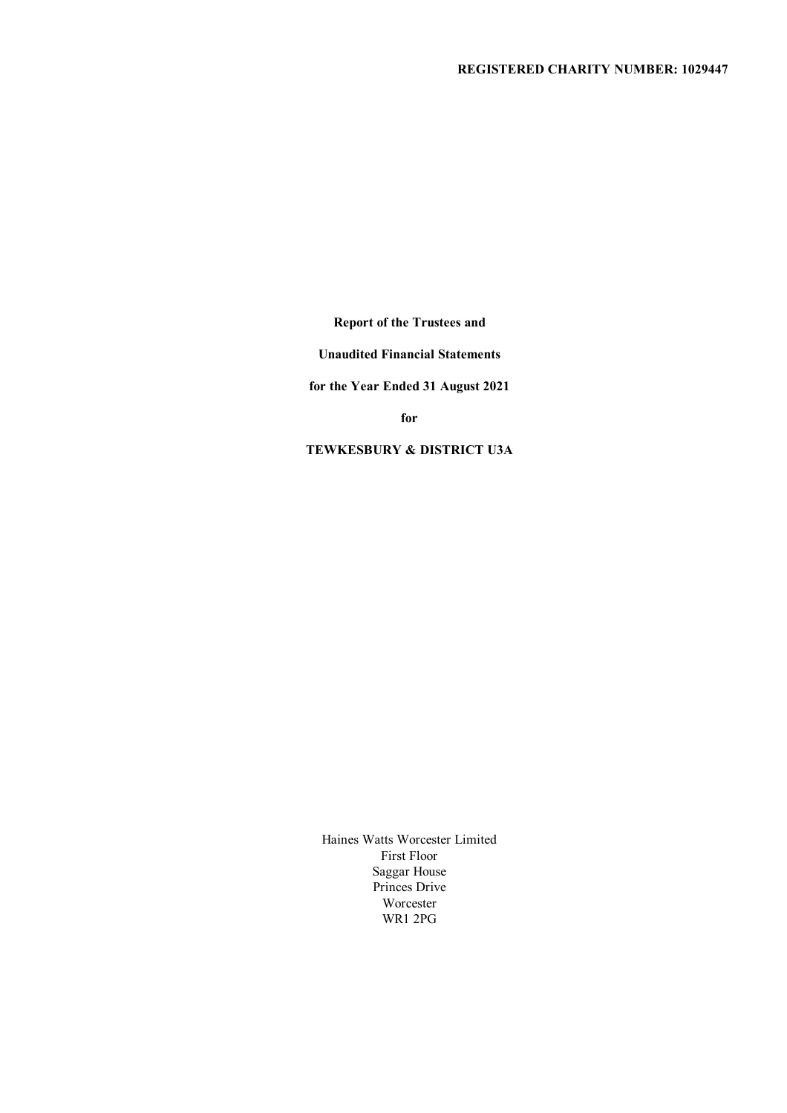## **REGISTERED CHARITY NUMBER: 1029447**

**Report of the Trustees and**

**Unaudited Financial Statements**

**for the Year Ended 31 August 2021**

**for**

**TEWKESBURY & DISTRICT U3A**

Haines Watts Worcester Limited First Floor Saggar House Princes Drive Worcester WR1 2PG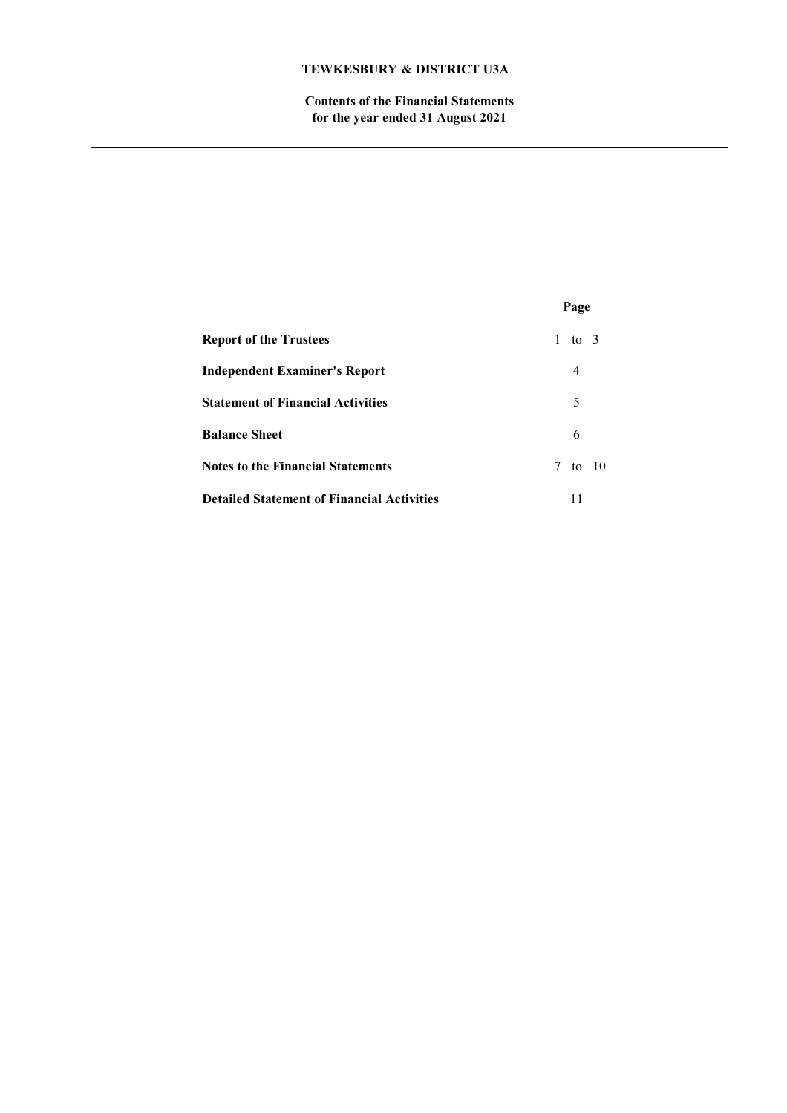**Contents of the Financial Statements for the year ended 31 August 2021**

|                                                   | Page                 |
|---------------------------------------------------|----------------------|
| <b>Report of the Trustees</b>                     | $\mathbf{1}$<br>to 3 |
| <b>Independent Examiner's Report</b>              | 4                    |
| <b>Statement of Financial Activities</b>          | 5                    |
| <b>Balance Sheet</b>                              | 6                    |
| <b>Notes to the Financial Statements</b>          | 7 to 10              |
| <b>Detailed Statement of Financial Activities</b> | 11                   |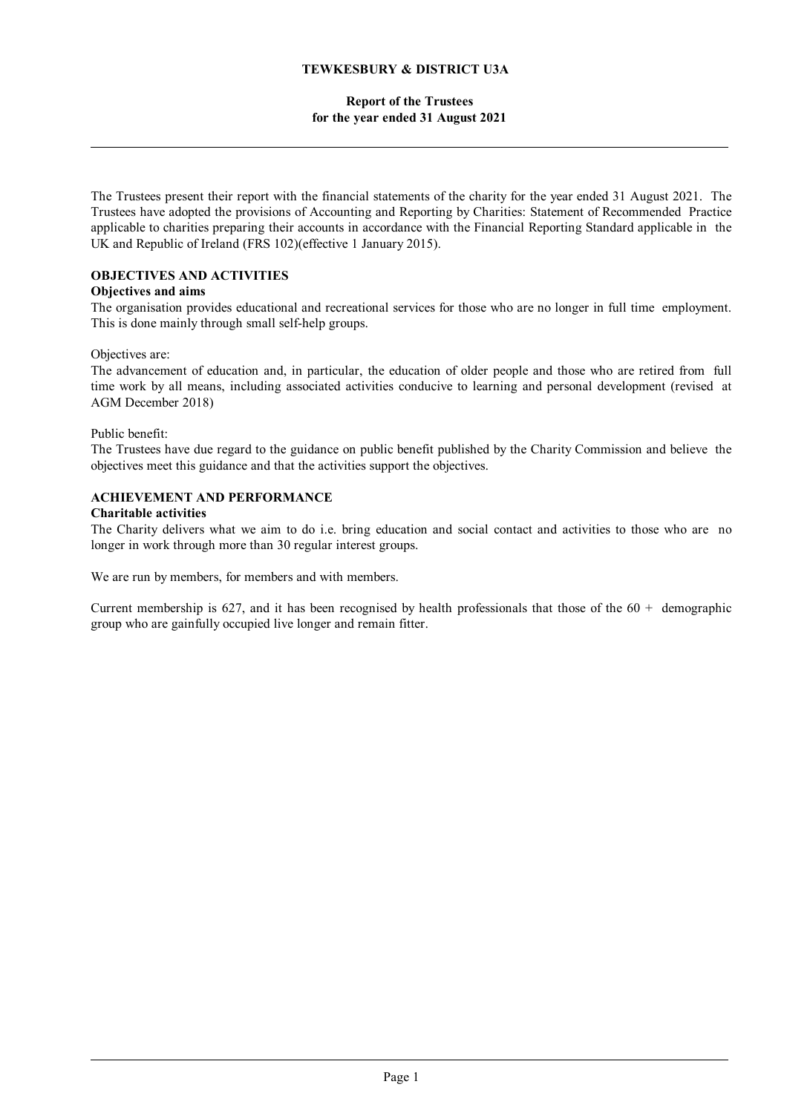## **Report of the Trustees for the year ended 31 August 2021**

The Trustees present their report with the financial statements of the charity for the year ended 31 August 2021. The Trustees have adopted the provisions of Accounting and Reporting by Charities: Statement of Recommended Practice applicable to charities preparing their accounts in accordance with the Financial Reporting Standard applicable in the UK and Republic of Ireland (FRS 102)(effective 1 January 2015).

# **OBJECTIVES AND ACTIVITIES**

## **Objectives and aims**

The organisation provides educational and recreational services for those who are no longer in full time employment. This is done mainly through small self-help groups.

## Objectives are:

The advancement of education and, in particular, the education of older people and those who are retired from full time work by all means, including associated activities conducive to learning and personal development (revised at AGM December 2018)

## Public benefit:

The Trustees have due regard to the guidance on public benefit published by the Charity Commission and believe the objectives meet this guidance and that the activities support the objectives.

## **ACHIEVEMENT AND PERFORMANCE**

### **Charitable activities**

The Charity delivers what we aim to do i.e. bring education and social contact and activities to those who are no longer in work through more than 30 regular interest groups.

We are run by members, for members and with members.

Current membership is 627, and it has been recognised by health professionals that those of the  $60 +$  demographic group who are gainfully occupied live longer and remain fitter.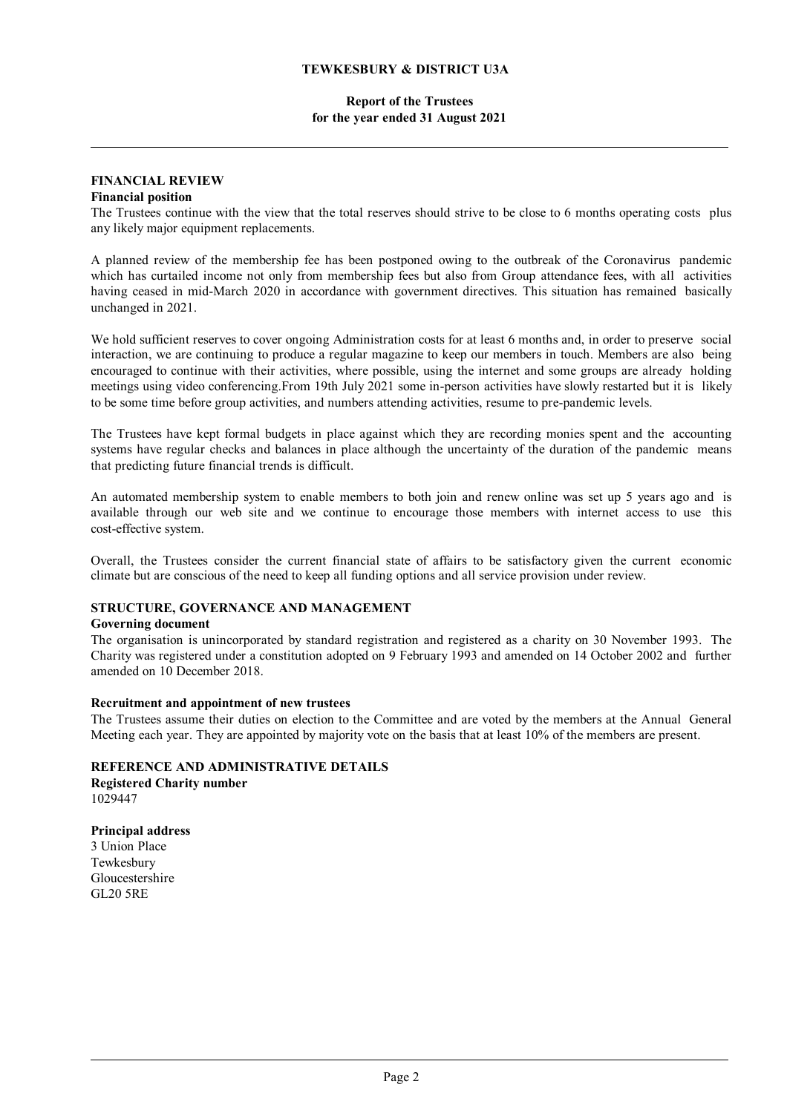### **Report of the Trustees for the year ended 31 August 2021**

#### **FINANCIAL REVIEW Financial position**

The Trustees continue with the view that the total reserves should strive to be close to 6 months operating costs plus any likely major equipment replacements.

A planned review of the membership fee has been postponed owing to the outbreak of the Coronavirus pandemic which has curtailed income not only from membership fees but also from Group attendance fees, with all activities having ceased in mid-March 2020 in accordance with government directives. This situation has remained basically unchanged in 2021.

We hold sufficient reserves to cover ongoing Administration costs for at least 6 months and, in order to preserve social interaction, we are continuing to produce a regular magazine to keep our members in touch. Members are also being encouraged to continue with their activities, where possible, using the internet and some groups are already holding meetings using video conferencing.From 19th July 2021 some in-person activities have slowly restarted but it is likely to be some time before group activities, and numbers attending activities, resume to pre-pandemic levels.

The Trustees have kept formal budgets in place against which they are recording monies spent and the accounting systems have regular checks and balances in place although the uncertainty of the duration of the pandemic means that predicting future financial trends is difficult.

An automated membership system to enable members to both join and renew online was set up 5 years ago and is available through our web site and we continue to encourage those members with internet access to use this cost-effective system.

Overall, the Trustees consider the current financial state of affairs to be satisfactory given the current economic climate but are conscious of the need to keep all funding options and all service provision under review.

## **STRUCTURE, GOVERNANCE AND MANAGEMENT**

### **Governing document**

The organisation is unincorporated by standard registration and registered as a charity on 30 November 1993. The Charity was registered under a constitution adopted on 9 February 1993 and amended on 14 October 2002 and further amended on 10 December 2018.

### **Recruitment and appointment of new trustees**

The Trustees assume their duties on election to the Committee and are voted by the members at the Annual General Meeting each year. They are appointed by majority vote on the basis that at least 10% of the members are present.

**REFERENCE AND ADMINISTRATIVE DETAILS Registered Charity number** 1029447

**Principal address** 3 Union Place Tewkesbury Gloucestershire GL20 5RE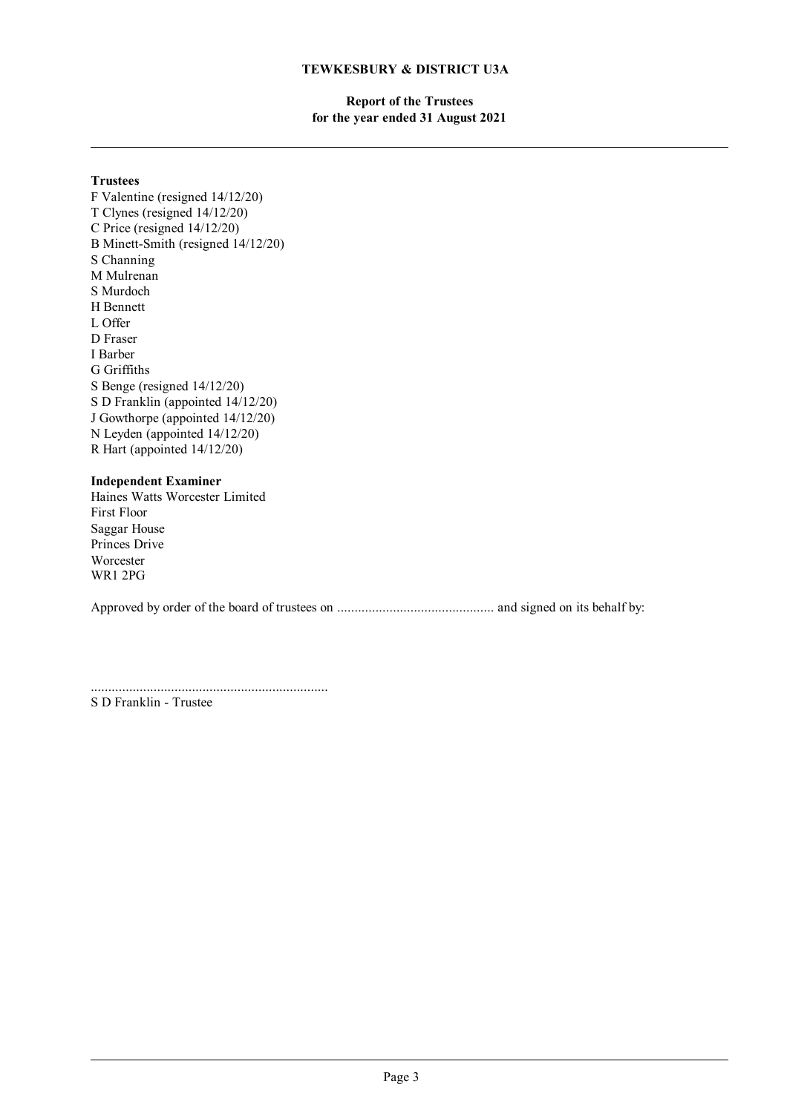## **Report of the Trustees for the year ended 31 August 2021**

### **Trustees**

F Valentine (resigned 14/12/20) T Clynes (resigned 14/12/20) C Price (resigned 14/12/20) B Minett-Smith (resigned 14/12/20) S Channing M Mulrenan S Murdoch H Bennett L Offer D Fraser I Barber G Griffiths S Benge (resigned 14/12/20) S D Franklin (appointed 14/12/20) J Gowthorpe (appointed 14/12/20) N Leyden (appointed 14/12/20) R Hart (appointed 14/12/20)

### **Independent Examiner**

Haines Watts Worcester Limited First Floor Saggar House Princes Drive Worcester WR1 2PG

Approved by order of the board of trustees on ............................................. and signed on its behalf by:

....................................................................

S D Franklin - Trustee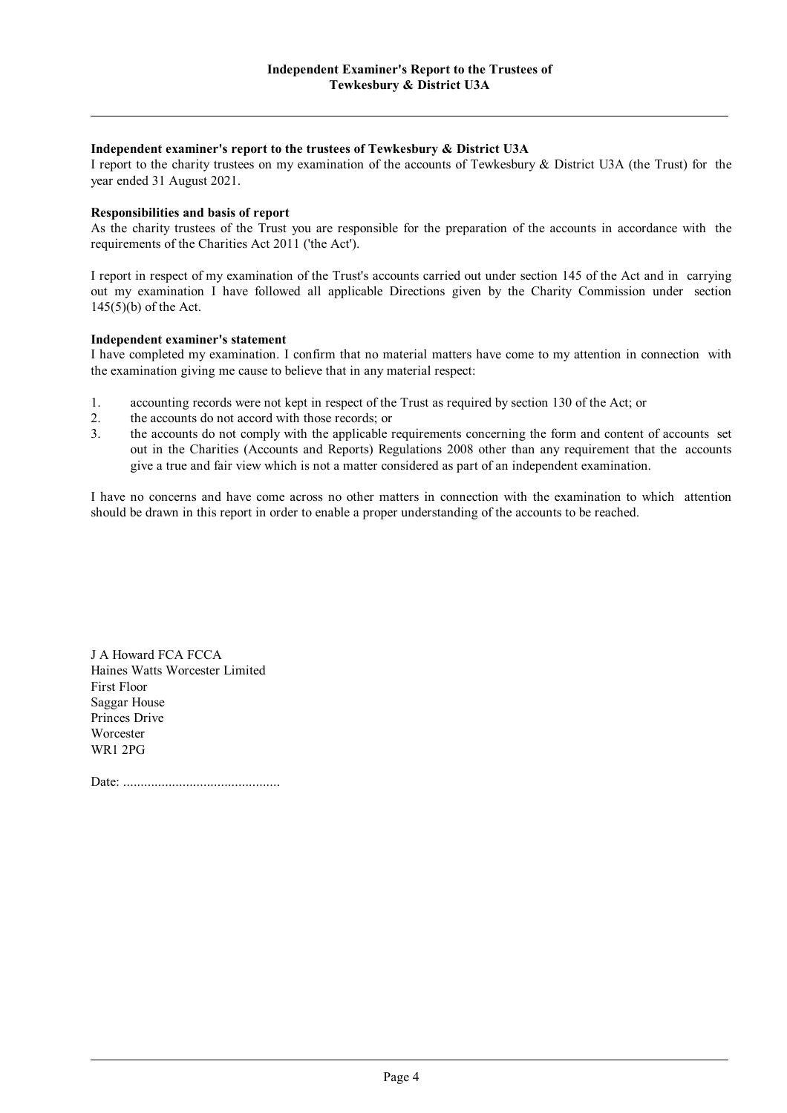#### **Independent examiner's report to the trustees of Tewkesbury & District U3A**

I report to the charity trustees on my examination of the accounts of Tewkesbury & District U3A (the Trust) for the year ended 31 August 2021.

#### **Responsibilities and basis of report**

As the charity trustees of the Trust you are responsible for the preparation of the accounts in accordance with the requirements of the Charities Act 2011 ('the Act').

I report in respect of my examination of the Trust's accounts carried out under section 145 of the Act and in carrying out my examination I have followed all applicable Directions given by the Charity Commission under section 145(5)(b) of the Act.

#### **Independent examiner's statement**

I have completed my examination. I confirm that no material matters have come to my attention in connection with the examination giving me cause to believe that in any material respect:

- 1. accounting records were not kept in respect of the Trust as required by section 130 of the Act; or
- 2. the accounts do not accord with those records; or
- 3. the accounts do not comply with the applicable requirements concerning the form and content of accounts set out in the Charities (Accounts and Reports) Regulations 2008 other than any requirement that the accounts give a true and fair view which is not a matter considered as part of an independent examination.

I have no concerns and have come across no other matters in connection with the examination to which attention should be drawn in this report in order to enable a proper understanding of the accounts to be reached.

J A Howard FCA FCCA Haines Watts Worcester Limited First Floor Saggar House Princes Drive Worcester WR1 2PG

Date: .............................................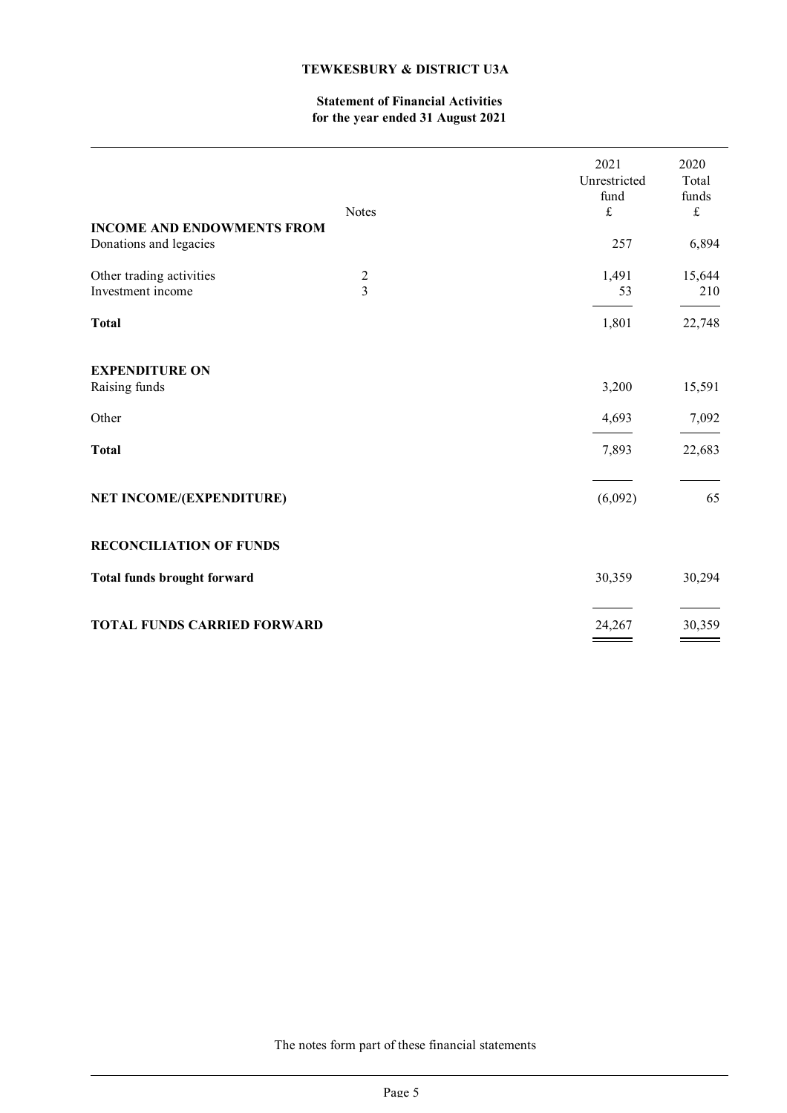## **Statement of Financial Activities for the year ended 31 August 2021**

| <b>INCOME AND ENDOWMENTS FROM</b>               | <b>Notes</b>                     | 2021<br>Unrestricted<br>fund<br>$\pounds$ | 2020<br>Total<br>funds<br>$\frak{L}$ |
|-------------------------------------------------|----------------------------------|-------------------------------------------|--------------------------------------|
| Donations and legacies                          |                                  | 257                                       | 6,894                                |
| Other trading activities<br>Investment income   | $\overline{c}$<br>$\overline{3}$ | 1,491<br>53                               | 15,644<br>210                        |
| <b>Total</b>                                    |                                  | 1,801                                     | 22,748                               |
| <b>EXPENDITURE ON</b><br>Raising funds<br>Other |                                  | 3,200<br>4,693                            | 15,591<br>7,092                      |
| <b>Total</b><br>NET INCOME/(EXPENDITURE)        |                                  | 7,893<br>(6,092)                          | 22,683<br>65                         |
| <b>RECONCILIATION OF FUNDS</b>                  |                                  |                                           |                                      |
| <b>Total funds brought forward</b>              |                                  | 30,359                                    | 30,294                               |
| <b>TOTAL FUNDS CARRIED FORWARD</b>              |                                  | 24,267                                    | 30,359                               |

The notes form part of these financial statements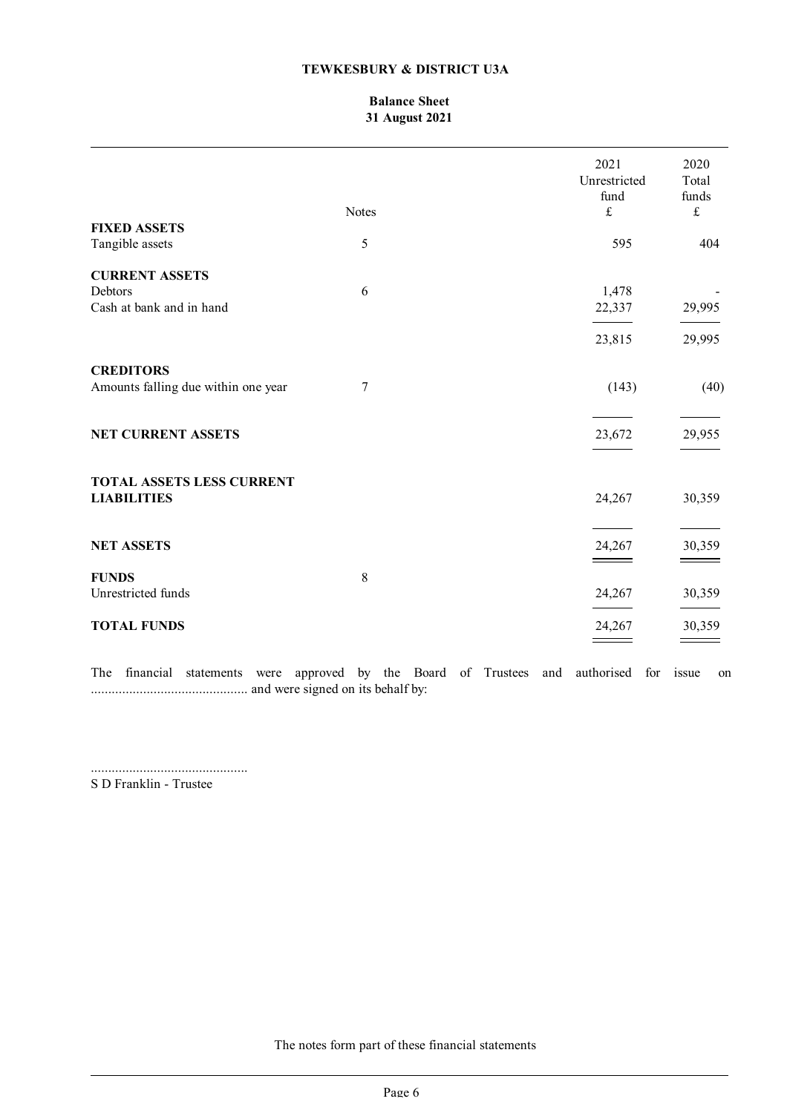## **Balance Sheet 31 August 2021**

|                                                         | <b>Notes</b> | 2021<br>Unrestricted<br>fund<br>$\pounds$ | 2020<br>Total<br>funds<br>$\pounds$ |
|---------------------------------------------------------|--------------|-------------------------------------------|-------------------------------------|
| <b>FIXED ASSETS</b>                                     |              |                                           |                                     |
| Tangible assets                                         | 5            | 595                                       | 404                                 |
| <b>CURRENT ASSETS</b>                                   |              |                                           |                                     |
| Debtors                                                 | 6            | 1,478                                     |                                     |
| Cash at bank and in hand                                |              | 22,337                                    | 29,995                              |
|                                                         |              | 23,815                                    | 29,995                              |
| <b>CREDITORS</b><br>Amounts falling due within one year | 7            | (143)                                     | (40)                                |
|                                                         |              |                                           |                                     |
| <b>NET CURRENT ASSETS</b>                               |              | 23,672                                    | 29,955                              |
| <b>TOTAL ASSETS LESS CURRENT</b>                        |              |                                           |                                     |
| <b>LIABILITIES</b>                                      |              | 24,267                                    | 30,359                              |
| <b>NET ASSETS</b>                                       |              | 24,267                                    | 30,359                              |
| <b>FUNDS</b>                                            | 8            |                                           |                                     |
| Unrestricted funds                                      |              | 24,267                                    | 30,359                              |
| <b>TOTAL FUNDS</b>                                      |              | 24,267                                    | 30,359                              |
|                                                         |              |                                           |                                     |

The financial statements were approved by the Board of Trustees and authorised for issue on ............................................. and were signed on its behalf by:

.............................................

S D Franklin - Trustee

The notes form part of these financial statements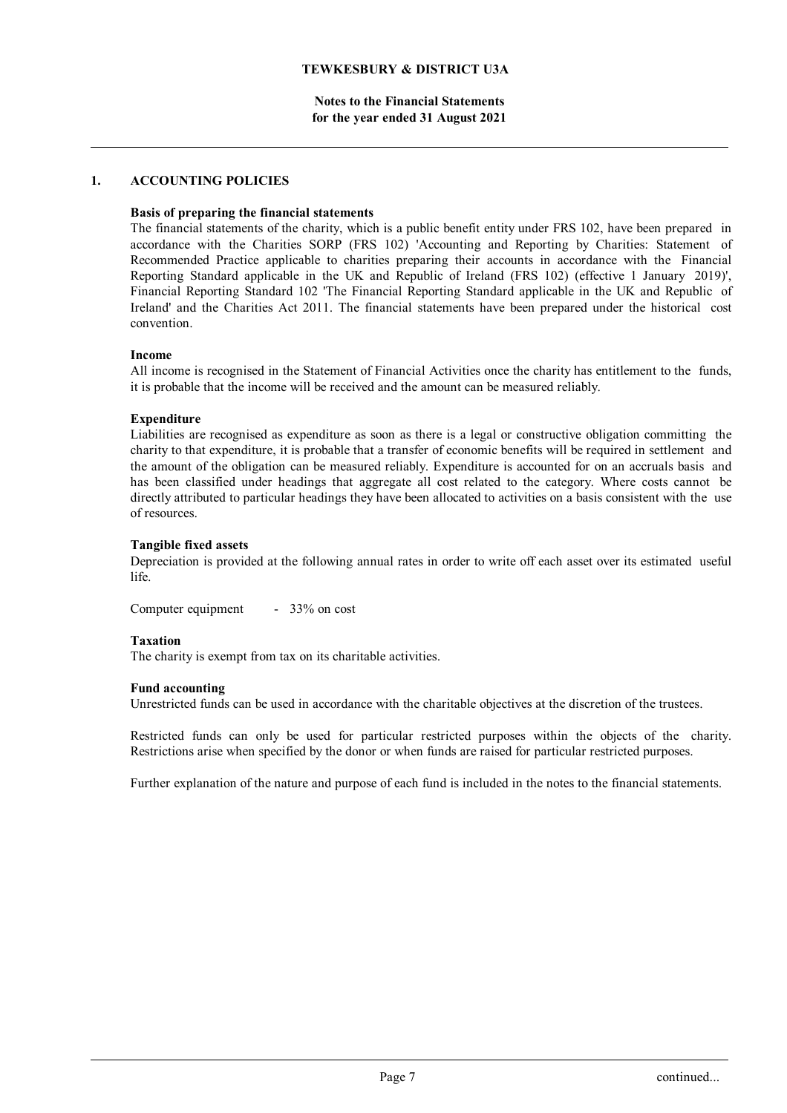**Notes to the Financial Statements for the year ended 31 August 2021**

### **1. ACCOUNTING POLICIES**

## **Basis of preparing the financial statements**

The financial statements of the charity, which is a public benefit entity under FRS 102, have been prepared in accordance with the Charities SORP (FRS 102) 'Accounting and Reporting by Charities: Statement of Recommended Practice applicable to charities preparing their accounts in accordance with the Financial Reporting Standard applicable in the UK and Republic of Ireland (FRS 102) (effective 1 January 2019)', Financial Reporting Standard 102 'The Financial Reporting Standard applicable in the UK and Republic of Ireland' and the Charities Act 2011. The financial statements have been prepared under the historical cost convention.

#### **Income**

All income is recognised in the Statement of Financial Activities once the charity has entitlement to the funds, it is probable that the income will be received and the amount can be measured reliably.

### **Expenditure**

Liabilities are recognised as expenditure as soon as there is a legal or constructive obligation committing the charity to that expenditure, it is probable that a transfer of economic benefits will be required in settlement and the amount of the obligation can be measured reliably. Expenditure is accounted for on an accruals basis and has been classified under headings that aggregate all cost related to the category. Where costs cannot be directly attributed to particular headings they have been allocated to activities on a basis consistent with the use of resources.

### **Tangible fixed assets**

Depreciation is provided at the following annual rates in order to write off each asset over its estimated useful life.

Computer equipment - 33% on cost

#### **Taxation**

The charity is exempt from tax on its charitable activities.

#### **Fund accounting**

Unrestricted funds can be used in accordance with the charitable objectives at the discretion of the trustees.

Restricted funds can only be used for particular restricted purposes within the objects of the charity. Restrictions arise when specified by the donor or when funds are raised for particular restricted purposes.

Further explanation of the nature and purpose of each fund is included in the notes to the financial statements.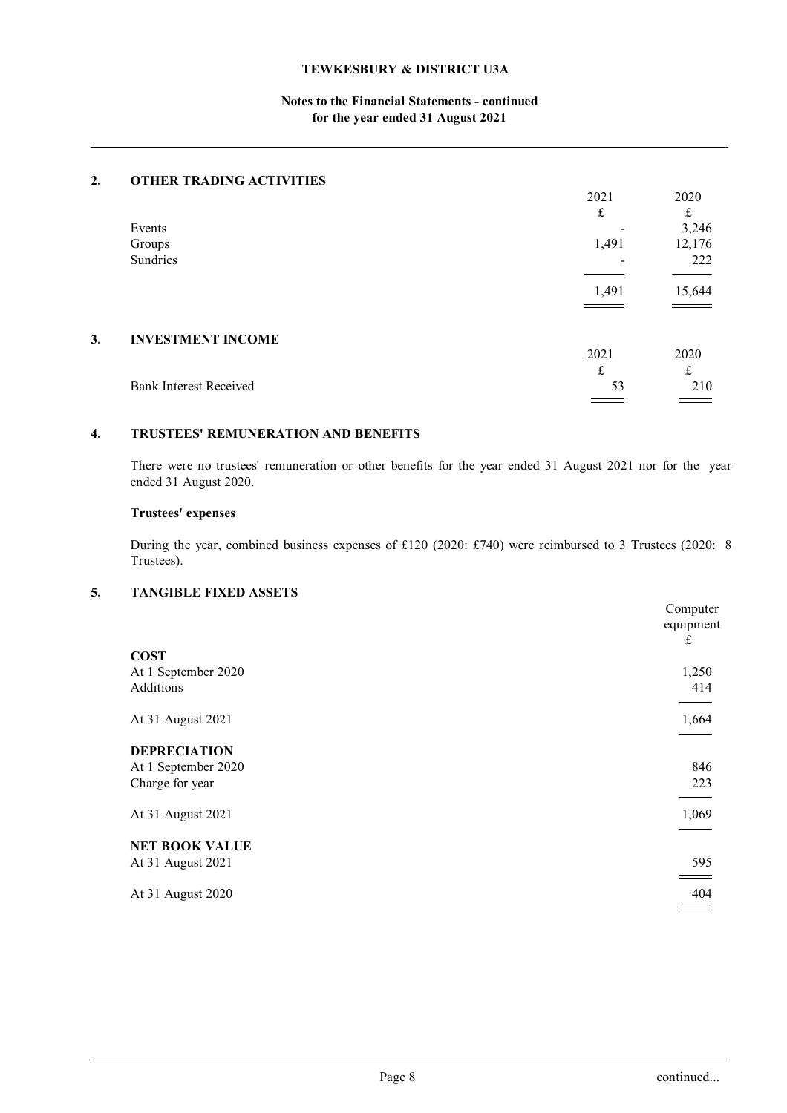## **Notes to the Financial Statements - continued for the year ended 31 August 2021**

### **2. OTHER TRADING ACTIVITIES**

|    |                               | 2021  | 2020   |
|----|-------------------------------|-------|--------|
|    |                               | £     | £      |
|    | Events                        |       | 3,246  |
|    | Groups                        | 1,491 | 12,176 |
|    | Sundries                      |       | 222    |
|    |                               | 1,491 | 15,644 |
| 3. | <b>INVESTMENT INCOME</b>      |       |        |
|    |                               | 2021  | 2020   |
|    |                               | £     | t      |
|    | <b>Bank Interest Received</b> | 53    | 210    |
|    |                               |       |        |

## **4. TRUSTEES' REMUNERATION AND BENEFITS**

There were no trustees' remuneration or other benefits for the year ended 31 August 2021 nor for the year ended 31 August 2020.

## **Trustees' expenses**

During the year, combined business expenses of £120 (2020: £740) were reimbursed to 3 Trustees (2020: 8 Trustees).

## **5. TANGIBLE FIXED ASSETS**

|                                                               | Computer<br>equipment<br>£ |
|---------------------------------------------------------------|----------------------------|
| <b>COST</b><br>At 1 September 2020<br>Additions               | 1,250<br>414               |
| At 31 August 2021                                             | 1,664                      |
| <b>DEPRECIATION</b><br>At 1 September 2020<br>Charge for year | 846<br>223                 |
| At 31 August 2021                                             | 1,069                      |
| <b>NET BOOK VALUE</b><br>At 31 August 2021                    | 595                        |
| At 31 August 2020                                             | 404                        |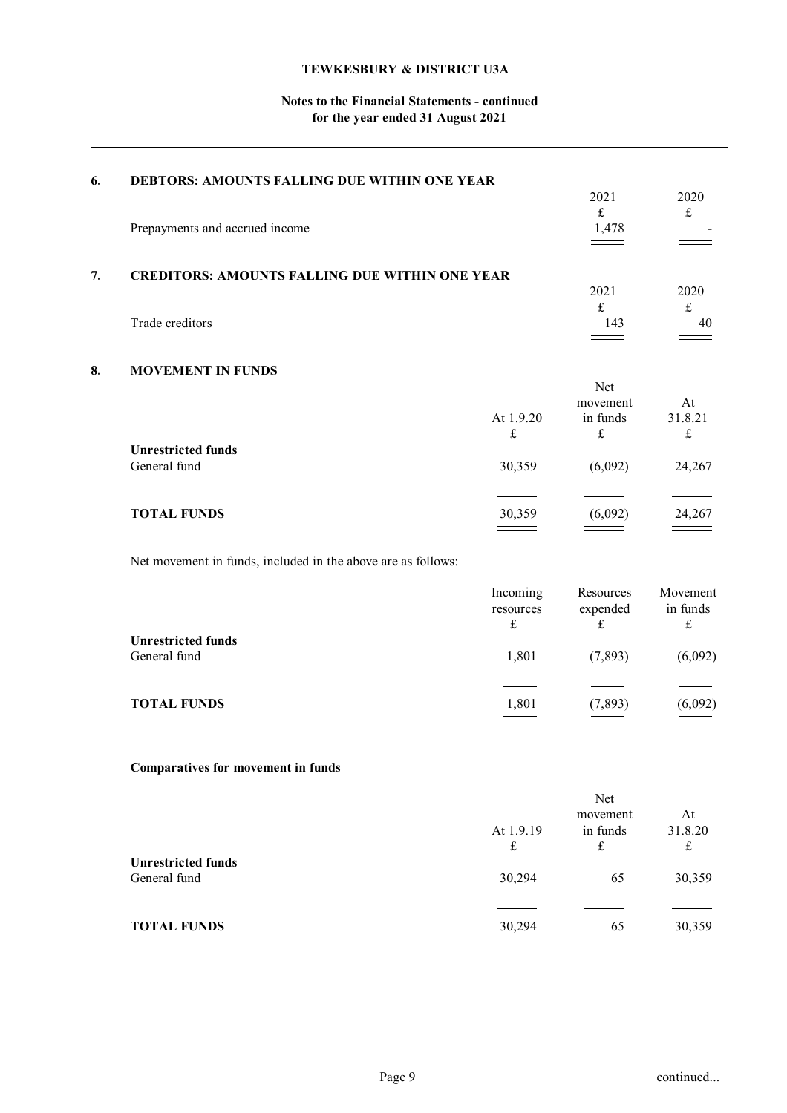## **Notes to the Financial Statements - continued for the year ended 31 August 2021**

| 6. | DEBTORS: AMOUNTS FALLING DUE WITHIN ONE YEAR                 |                                                                                                                                                                                                                                                                                                                                                                                                                                                                                              | 2021                                | 2020                              |
|----|--------------------------------------------------------------|----------------------------------------------------------------------------------------------------------------------------------------------------------------------------------------------------------------------------------------------------------------------------------------------------------------------------------------------------------------------------------------------------------------------------------------------------------------------------------------------|-------------------------------------|-----------------------------------|
|    | Prepayments and accrued income                               |                                                                                                                                                                                                                                                                                                                                                                                                                                                                                              | $\pounds$<br>1,478                  | $\pounds$                         |
| 7. | <b>CREDITORS: AMOUNTS FALLING DUE WITHIN ONE YEAR</b>        |                                                                                                                                                                                                                                                                                                                                                                                                                                                                                              | 2021                                | 2020                              |
|    | Trade creditors                                              |                                                                                                                                                                                                                                                                                                                                                                                                                                                                                              | $\pounds$<br>143                    | $\pounds$<br>40                   |
| 8. | <b>MOVEMENT IN FUNDS</b>                                     |                                                                                                                                                                                                                                                                                                                                                                                                                                                                                              | Net                                 |                                   |
|    |                                                              | At 1.9.20<br>$\pounds$                                                                                                                                                                                                                                                                                                                                                                                                                                                                       | movement<br>in funds<br>$\mathbf f$ | At<br>31.8.21<br>$\pounds$        |
|    | <b>Unrestricted funds</b><br>General fund                    | 30,359                                                                                                                                                                                                                                                                                                                                                                                                                                                                                       | (6,092)                             | 24,267                            |
|    | <b>TOTAL FUNDS</b>                                           | 30,359                                                                                                                                                                                                                                                                                                                                                                                                                                                                                       | (6,092)                             | 24,267                            |
|    | Net movement in funds, included in the above are as follows: |                                                                                                                                                                                                                                                                                                                                                                                                                                                                                              |                                     |                                   |
|    |                                                              | Incoming<br>resources<br>$\mathfrak{L}% _{F}=\mathfrak{L}_{F,\mathbb{R}}\times\mathfrak{L}_{F,\mathbb{R}}\times\mathfrak{L}_{F,\mathbb{R}}\times\mathfrak{L}_{F,\mathbb{R}}\times\mathfrak{L}_{F,\mathbb{R}}\times\mathfrak{L}_{F,\mathbb{R}}\times\mathfrak{L}_{F,\mathbb{R}}\times\mathfrak{L}_{F,\mathbb{R}}\times\mathfrak{L}_{F,\mathbb{R}}\times\mathfrak{L}_{F,\mathbb{R}}\times\mathfrak{L}_{F,\mathbb{R}}\times\mathfrak{L}_{F,\mathbb{R}}\times\mathfrak{L}_{F,\mathbb{R}}\times\$ | Resources<br>expended<br>£          | Movement<br>in funds<br>$\pounds$ |
|    | <b>Unrestricted funds</b><br>General fund                    | 1,801                                                                                                                                                                                                                                                                                                                                                                                                                                                                                        | (7, 893)                            | (6,092)                           |
|    | <b>TOTAL FUNDS</b>                                           | 1,801                                                                                                                                                                                                                                                                                                                                                                                                                                                                                        | (7, 893)                            | (6,092)                           |
|    | Comparatives for movement in funds                           |                                                                                                                                                                                                                                                                                                                                                                                                                                                                                              |                                     |                                   |
|    |                                                              | At 1.9.19<br>$\pounds$                                                                                                                                                                                                                                                                                                                                                                                                                                                                       | Net<br>movement<br>in funds<br>£    | At<br>31.8.20<br>$\pounds$        |
|    | <b>Unrestricted funds</b><br>General fund                    | 30,294                                                                                                                                                                                                                                                                                                                                                                                                                                                                                       | 65                                  | 30,359                            |
|    | <b>TOTAL FUNDS</b>                                           | 30,294                                                                                                                                                                                                                                                                                                                                                                                                                                                                                       | 65                                  | 30,359                            |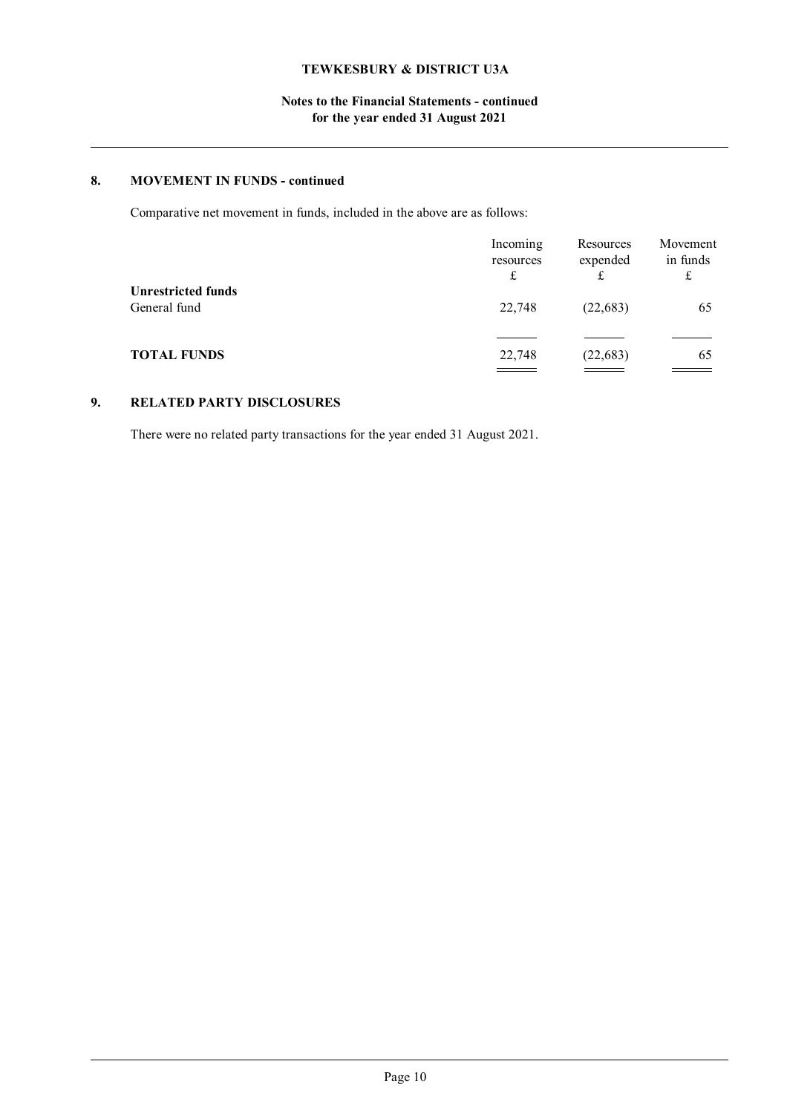## **Notes to the Financial Statements - continued for the year ended 31 August 2021**

## **8. MOVEMENT IN FUNDS - continued**

Comparative net movement in funds, included in the above are as follows:

|                                           | Incoming<br>resources<br>£ | Resources<br>expended | Movement<br>in funds |
|-------------------------------------------|----------------------------|-----------------------|----------------------|
| <b>Unrestricted funds</b><br>General fund | 22,748                     | (22, 683)             | 65                   |
| <b>TOTAL FUNDS</b>                        | 22,748                     | (22, 683)             | 65                   |

## **9. RELATED PARTY DISCLOSURES**

There were no related party transactions for the year ended 31 August 2021.